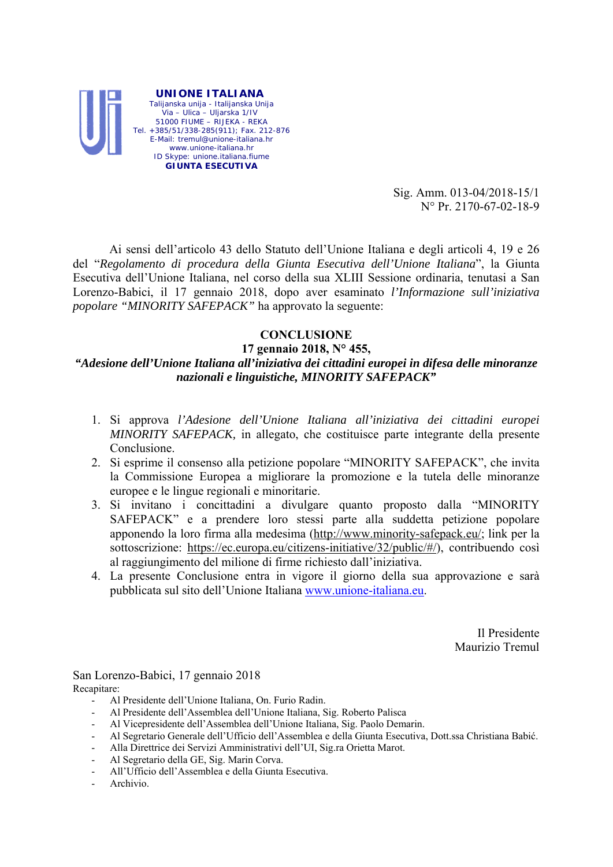

Sig. Amm. 013-04/2018-15/1 N° Pr. 2170-67-02-18-9

 Ai sensi dell'articolo 43 dello Statuto dell'Unione Italiana e degli articoli 4, 19 e 26 del "*Regolamento di procedura della Giunta Esecutiva dell'Unione Italiana*", la Giunta Esecutiva dell'Unione Italiana, nel corso della sua XLIII Sessione ordinaria, tenutasi a San Lorenzo-Babici, il 17 gennaio 2018, dopo aver esaminato *l'Informazione sull'iniziativa popolare "MINORITY SAFEPACK"* ha approvato la seguente:

## **CONCLUSIONE**

**17 gennaio 2018, N° 455,** 

## *"Adesione dell'Unione Italiana all'iniziativa dei cittadini europei in difesa delle minoranze nazionali e linguistiche, MINORITY SAFEPACK"*

- 1. Si approva *l'Adesione dell'Unione Italiana all'iniziativa dei cittadini europei MINORITY SAFEPACK,* in allegato, che costituisce parte integrante della presente Conclusione.
- 2. Si esprime il consenso alla petizione popolare "MINORITY SAFEPACK", che invita la Commissione Europea a migliorare la promozione e la tutela delle minoranze europee e le lingue regionali e minoritarie.
- 3. Si invitano i concittadini a divulgare quanto proposto dalla "MINORITY SAFEPACK" e a prendere loro stessi parte alla suddetta petizione popolare apponendo la loro firma alla medesima (http://www.minority-safepack.eu/; link per la sottoscrizione: https://ec.europa.eu/citizens-initiative/32/public/#/), contribuendo così al raggiungimento del milione di firme richiesto dall'iniziativa.
- 4. La presente Conclusione entra in vigore il giorno della sua approvazione e sarà pubblicata sul sito dell'Unione Italiana www.unione-italiana.eu.

Il Presidente Maurizio Tremul

San Lorenzo-Babici, 17 gennaio 2018 Recapitare:

- Al Presidente dell'Unione Italiana, On. Furio Radin.
- Al Presidente dell'Assemblea dell'Unione Italiana, Sig. Roberto Palisca
- Al Vicepresidente dell'Assemblea dell'Unione Italiana, Sig. Paolo Demarin.
- Al Segretario Generale dell'Ufficio dell'Assemblea e della Giunta Esecutiva, Dott.ssa Christiana Babić.
- Alla Direttrice dei Servizi Amministrativi dell'UI, Sig.ra Orietta Marot.
- Al Segretario della GE, Sig. Marin Corva.
- All'Ufficio dell'Assemblea e della Giunta Esecutiva.
- Archivio.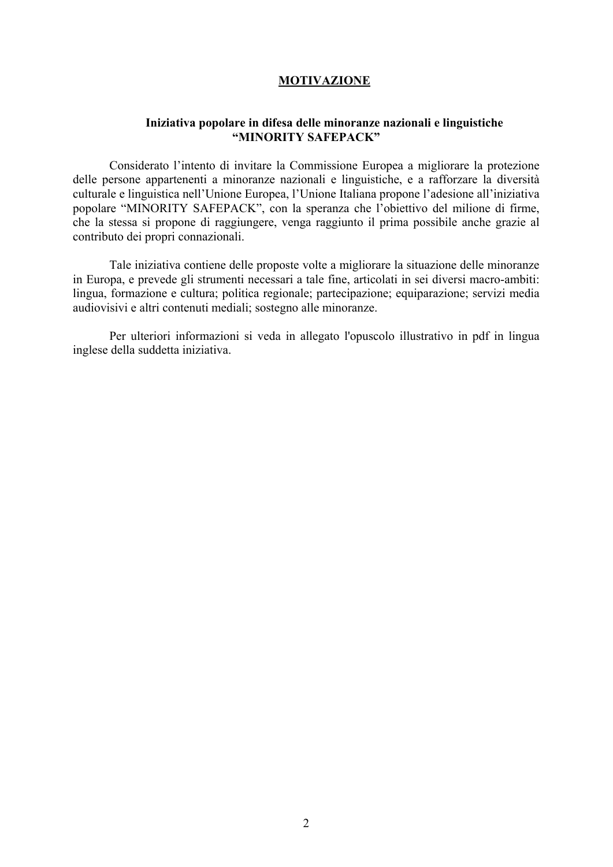## **MOTIVAZIONE**

#### **Iniziativa popolare in difesa delle minoranze nazionali e linguistiche "MINORITY SAFEPACK"**

Considerato l'intento di invitare la Commissione Europea a migliorare la protezione delle persone appartenenti a minoranze nazionali e linguistiche, e a rafforzare la diversità culturale e linguistica nell'Unione Europea, l'Unione Italiana propone l'adesione all'iniziativa popolare "MINORITY SAFEPACK", con la speranza che l'obiettivo del milione di firme, che la stessa si propone di raggiungere, venga raggiunto il prima possibile anche grazie al contributo dei propri connazionali.

Tale iniziativa contiene delle proposte volte a migliorare la situazione delle minoranze in Europa, e prevede gli strumenti necessari a tale fine, articolati in sei diversi macro-ambiti: lingua, formazione e cultura; politica regionale; partecipazione; equiparazione; servizi media audiovisivi e altri contenuti mediali; sostegno alle minoranze.

Per ulteriori informazioni si veda in allegato l'opuscolo illustrativo in pdf in lingua inglese della suddetta iniziativa.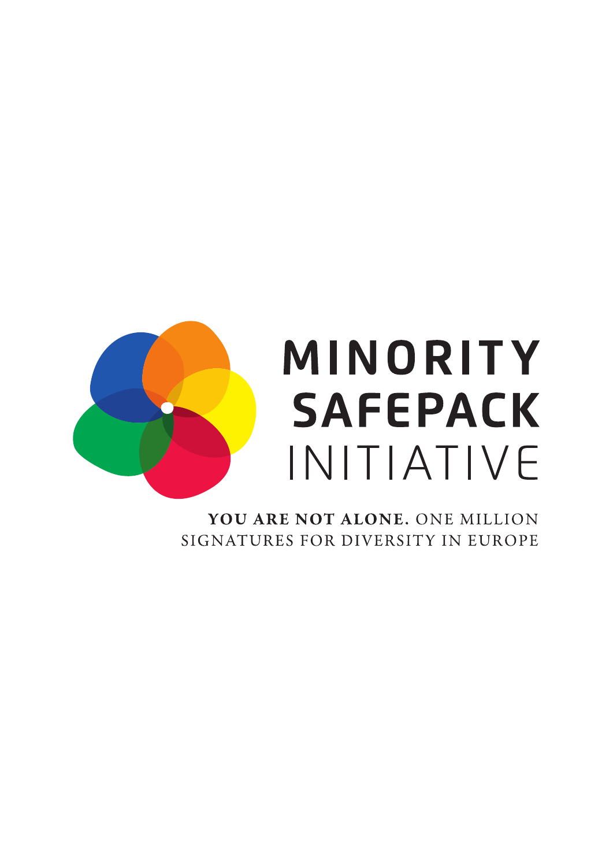

# MINORITY **SAFEPACK** INITIATIVE

YOU ARE NOT ALONE. ONE MILLION SIGNATURES FOR DIVERSITY IN EUROPE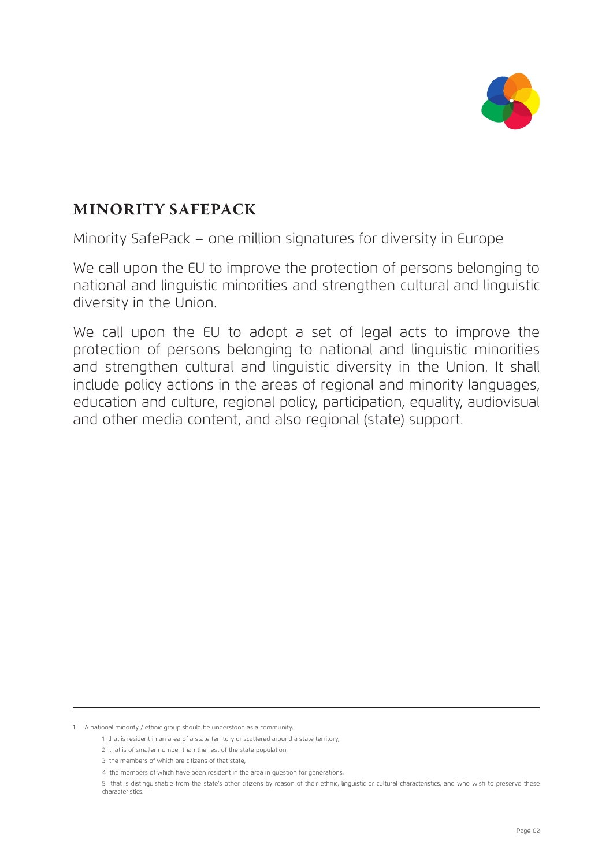

# **MINORITY SAFEPACK**

Minority SafePack – one million signatures for diversity in Europe

We call upon the EU to improve the protection of persons belonging to national and linguistic minorities and strengthen cultural and linguistic diversity in the Union.

We call upon the EU to adopt a set of legal acts to improve the protection of persons belonging to national and linguistic minorities and strengthen cultural and linguistic diversity in the Union. It shall include policy actions in the areas of regional and minority languages, education and culture, regional policy, participation, equality, audiovisual and other media content, and also regional (state) support.

1 A national minority / ethnic group should be understood as a community,

<sup>1</sup> that is resident in an area of a state territory or scattered around a state territory,

<sup>2</sup> that is of smaller number than the rest of the state population

<sup>3</sup> the members of which are citizens of that state,

<sup>4</sup> the members of which have been resident in the area in question for generations,

<sup>5</sup> that is distinguishable from the state's other citizens by reason of their ethnic, linguistic or cultural characteristics, and who wish to preserve these characteristics.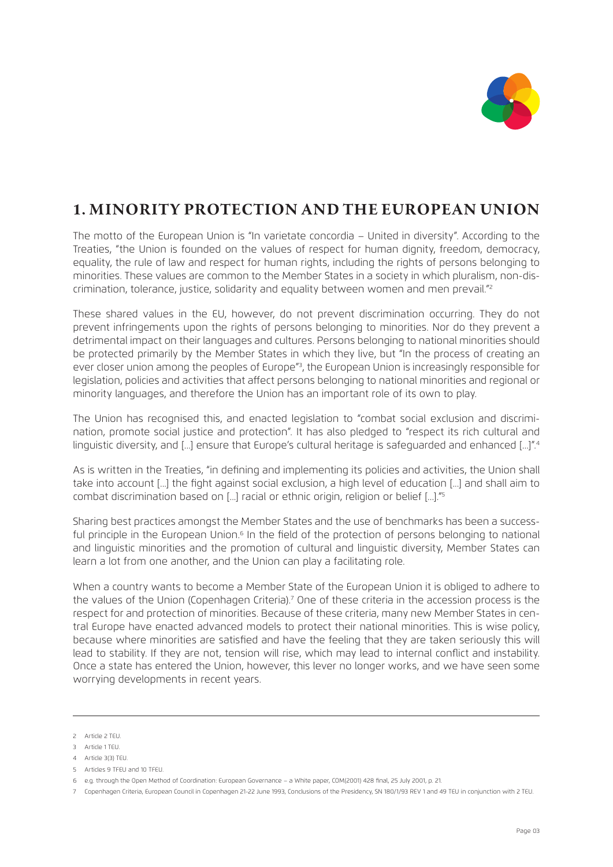

## **1. MINORITY PROTECTION AND THE EUROPEAN UNION**

The motto of the European Union is "In varietate concordia – United in diversity". According to the Treaties, "the Union is founded on the values of respect for human dignity, freedom, democracy, equality, the rule of law and respect for human rights, including the rights of persons belonging to minorities. These values are common to the Member States in a society in which pluralism, non-discrimination, tolerance, justice, solidarity and equality between women and men prevail."2

These shared values in the EU, however, do not prevent discrimination occurring. They do not prevent infringements upon the rights of persons belonging to minorities. Nor do they prevent a detrimental impact on their languages and cultures. Persons belonging to national minorities should be protected primarily by the Member States in which they live, but "In the process of creating an ever closer union among the peoples of Europe<sup>"3</sup>, the European Union is increasingly responsible for legislation, policies and activities that affect persons belonging to national minorities and regional or minority languages, and therefore the Union has an important role of its own to play.

The Union has recognised this, and enacted legislation to "combat social exclusion and discrimination, promote social justice and protection". It has also pledged to "respect its rich cultural and linguistic diversity, and [...] ensure that Europe's cultural heritage is safeguarded and enhanced [...]".<sup>4</sup>

As is written in the Treaties, "in defining and implementing its policies and activities, the Union shall take into account [...] the fight against social exclusion, a high level of education [...] and shall aim to combat discrimination based on [...] racial or ethnic origin, religion or belief [...]."5

Sharing best practices amongst the Member States and the use of benchmarks has been a successful principle in the European Union.<sup>6</sup> In the field of the protection of persons belonging to national and linguistic minorities and the promotion of cultural and linguistic diversity, Member States can learn a lot from one another, and the Union can play a facilitating role.

When a country wants to become a Member State of the European Union it is obliged to adhere to the values of the Union (Copenhagen Criteria).<sup>7</sup> One of these criteria in the accession process is the respect for and protection of minorities. Because of these criteria, many new Member States in central Europe have enacted advanced models to protect their national minorities. This is wise policy, because where minorities are satisfied and have the feeling that they are taken seriously this will lead to stability. If they are not, tension will rise, which may lead to internal conflict and instability. Once a state has entered the Union, however, this lever no longer works, and we have seen some worrying developments in recent years.

5 Articles 9 TFEU and 10 TFEU.

<sup>2</sup> Article 2 TEU.

<sup>3</sup> Article 1 TEU.

<sup>4</sup> Article 3(3) TEU.

<sup>6</sup> e.g. through the Open Method of Coordination: European Governance – a White paper, COM(2001) 428 final, 25 July 2001, p. 21.

<sup>7</sup> Copenhagen Criteria, European Council in Copenhagen 21-22 June 1993, Conclusions of the Presidency, SN 180/1/93 REV 1 and 49 TEU in conjunction with 2 TEU.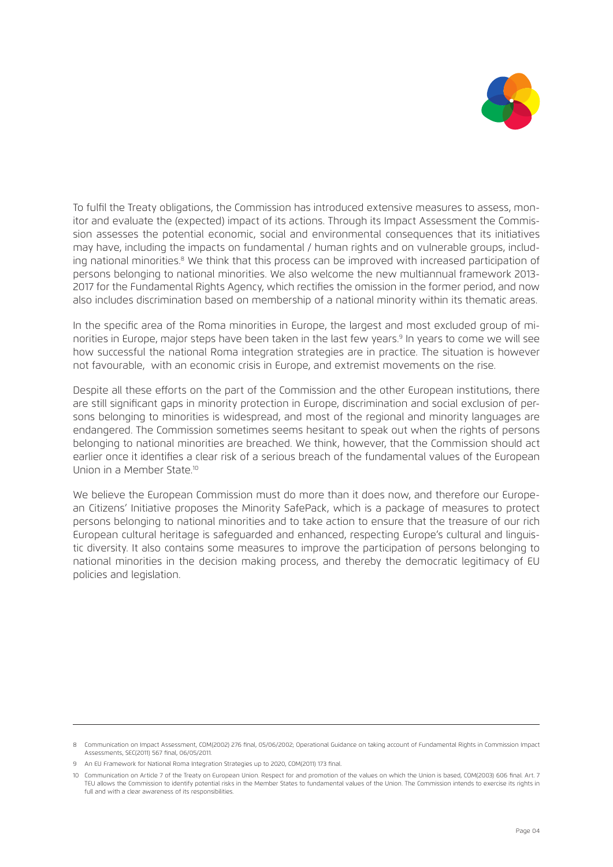

To fulfil the Treaty obligations, the Commission has introduced extensive measures to assess, monitor and evaluate the (expected) impact of its actions. Through its Impact Assessment the Commission assesses the potential economic, social and environmental consequences that its initiatives may have, including the impacts on fundamental / human rights and on vulnerable groups, including national minorities.<sup>8</sup> We think that this process can be improved with increased participation of persons belonging to national minorities. We also welcome the new multiannual framework 2013- 2017 for the Fundamental Rights Agency, which rectifies the omission in the former period, and now also includes discrimination based on membership of a national minority within its thematic areas.

In the specific area of the Roma minorities in Europe, the largest and most excluded group of minorities in Europe, major steps have been taken in the last few years.<sup>9</sup> In years to come we will see how successful the national Roma integration strategies are in practice. The situation is however not favourable, with an economic crisis in Europe, and extremist movements on the rise.

Despite all these efforts on the part of the Commission and the other European institutions, there are still significant gaps in minority protection in Europe, discrimination and social exclusion of persons belonging to minorities is widespread, and most of the regional and minority languages are endangered. The Commission sometimes seems hesitant to speak out when the rights of persons belonging to national minorities are breached. We think, however, that the Commission should act earlier once it identifies a clear risk of a serious breach of the fundamental values of the European Union in a Member State<sup>10</sup>

We believe the European Commission must do more than it does now, and therefore our European Citizens' Initiative proposes the Minority SafePack, which is a package of measures to protect persons belonging to national minorities and to take action to ensure that the treasure of our rich European cultural heritage is safeguarded and enhanced, respecting Europe's cultural and linguistic diversity. It also contains some measures to improve the participation of persons belonging to national minorities in the decision making process, and thereby the democratic legitimacy of EU policies and legislation.

<sup>8</sup> Communication on Impact Assessment, COM(2002) 276 final, 05/06/2002; Operational Guidance on taking account of Fundamental Rights in Commission Impact Assessments, SEC(2011) 567 final, 06/05/2011.

<sup>9</sup> An EU Framework for National Roma Integration Strategies up to 2020, COM(2011) 173 final.

<sup>10</sup> Communication on Article 7 of the Treaty on European Union. Respect for and promotion of the values on which the Union is based, COM(2003) 606 final. Art. 7 TEU allows the Commission to identify potential risks in the Member States to fundamental values of the Union. The Commission intends to exercise its rights in full and with a clear awareness of its responsibilities.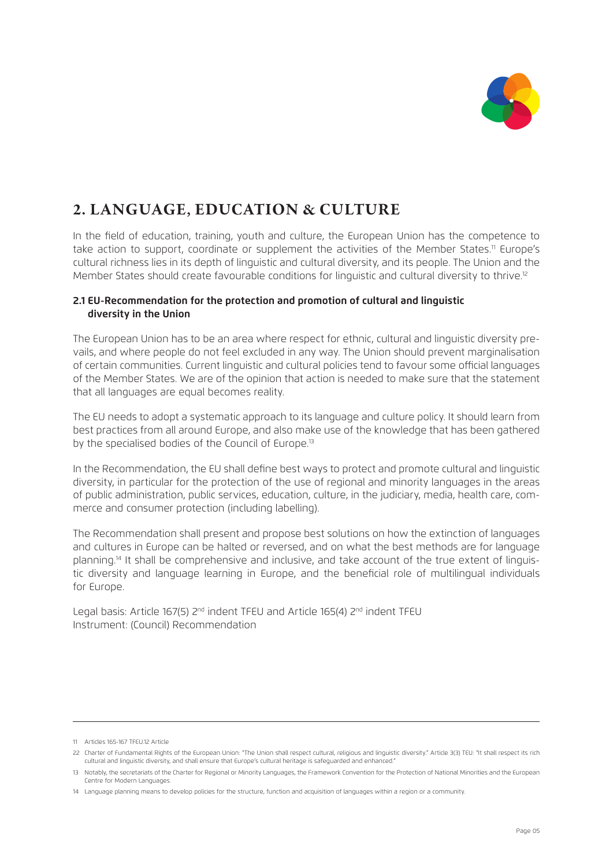

# **2. LANGUAGE, EDUCATION & CULTURE**

In the field of education, training, youth and culture, the European Union has the competence to take action to support, coordinate or supplement the activities of the Member States.<sup>11</sup> Europe's cultural richness lies in its depth of linguistic and cultural diversity, and its people. The Union and the Member States should create favourable conditions for linguistic and cultural diversity to thrive.<sup>12</sup>

#### **2.1 EU-Recommendation for the protection and promotion of cultural and linguistic diversity in the Union**

The European Union has to be an area where respect for ethnic, cultural and linguistic diversity prevails, and where people do not feel excluded in any way. The Union should prevent marginalisation of certain communities. Current linguistic and cultural policies tend to favour some official languages of the Member States. We are of the opinion that action is needed to make sure that the statement that all languages are equal becomes reality.

The EU needs to adopt a systematic approach to its language and culture policy. It should learn from best practices from all around Europe, and also make use of the knowledge that has been gathered by the specialised bodies of the Council of Europe.<sup>13</sup>

In the Recommendation, the EU shall define best ways to protect and promote cultural and linguistic diversity, in particular for the protection of the use of regional and minority languages in the areas of public administration, public services, education, culture, in the judiciary, media, health care, commerce and consumer protection (including labelling).

The Recommendation shall present and propose best solutions on how the extinction of languages and cultures in Europe can be halted or reversed, and on what the best methods are for language planning.14 It shall be comprehensive and inclusive, and take account of the true extent of linguistic diversity and language learning in Europe, and the beneficial role of multilingual individuals for Europe.

Legal basis: Article 167(5) 2<sup>nd</sup> indent TFEU and Article 165(4) 2<sup>nd</sup> indent TFEU Instrument: (Council) Recommendation

<sup>11</sup> Articles 165-167 TFEU.12 Article

<sup>22</sup> Charter of Fundamental Rights of the European Union: "The Union shall respect cultural, religious and linguistic diversity." Article 3(3) TEU: "It shall respect its rich cultural and linguistic diversity, and shall ensure that Europe's cultural heritage is safeguarded and enhanced."

<sup>13</sup> Notably, the secretariats of the Charter for Regional or Minority Languages, the Framework Convention for the Protection of National Minorities and the European Centre for Modern Languages.

<sup>14</sup> Language planning means to develop policies for the structure, function and acquisition of languages within a region or a community.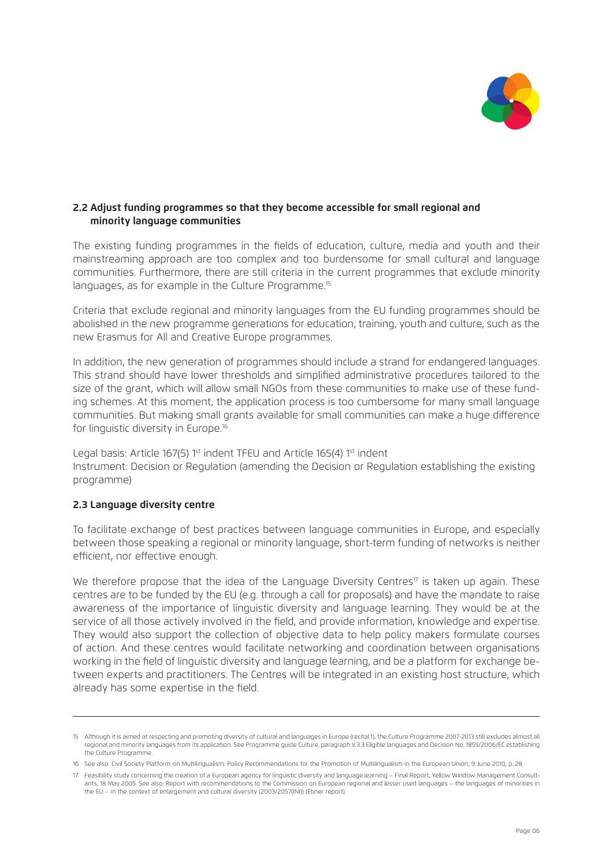

#### **2.2 Adjust funding programmes so that they become accessible for small regional and minority language communities**

The existing funding programmes in the fields of education, culture, media and youth and their mainstreaming approach are too complex and too burdensome for small cultural and language communities. Furthermore, there are still criteria in the current programmes that exclude minority languages, as for example in the Culture Programme.<sup>15</sup>

Criteria that exclude regional and minority languages from the EU funding programmes should be abolished in the new programme generations for education, training, youth and culture, such as the new Erasmus for All and Creative Europe programmes.

In addition, the new generation of programmes should include a strand for endangered languages. This strand should have lower thresholds and simplified administrative procedures tailored to the size of the grant, which will allow small NGOs from these communities to make use of these funding schemes. At this moment, the application process is too cumbersome for many small language communities. But making small grants available for small communities can make a huge difference for linguistic diversity in Europe.<sup>16</sup>

Legal basis: Article 167(5) 1<sup>st</sup> indent TFEU and Article 165(4) 1st indent Instrument: Decision or Regulation (amending the Decision or Regulation establishing the existing programme)

#### **2.3 Language diversity centre**

To facilitate exchange of best practices between language communities in Europe, and especially between those speaking a regional or minority language, short-term funding of networks is neither efficient, nor effective enough.

We therefore propose that the idea of the Language Diversity Centres<sup>17</sup> is taken up again. These centres are to be funded by the EU (e.g. through a call for proposals) and have the mandate to raise awareness of the importance of linguistic diversity and language learning. They would be at the service of all those actively involved in the field, and provide information, knowledge and expertise. They would also support the collection of objective data to help policy makers formulate courses of action. And these centres would facilitate networking and coordination between organisations working in the field of linguistic diversity and language learning, and be a platform for exchange between experts and practitioners. The Centres will be integrated in an existing host structure, which already has some expertise in the field.

<sup>15</sup> Although it is aimed at respecting and promoting diversity of cultural and languages in Europe (recital 1), the Culture Programme 2007-2013 still excludes almost all regional and minority languages from its application. See Programme guide Culture, paragraph V.3.3 Eligible languages and Decision No. 1855/2006/EC establishing the Culture Programme.

<sup>16</sup> See also: Civil Society Platform on Multilingualism: Policy Recommendations for the Promotion of Multilingualism in the European Union, 9 June 2010, p. 28.

<sup>17</sup> Feasibility study concerning the creation of a European agency for linguistic diversity and language learning – Final Report, Yellow Window Management Consultants, 18 May 2005. See also: Report with recommendations to the Commission on European regional and lesser used languages – the languages of minorities in the EU – in the context of enlargement and cultural diversity (2003/2057(INI)) (Ebner report).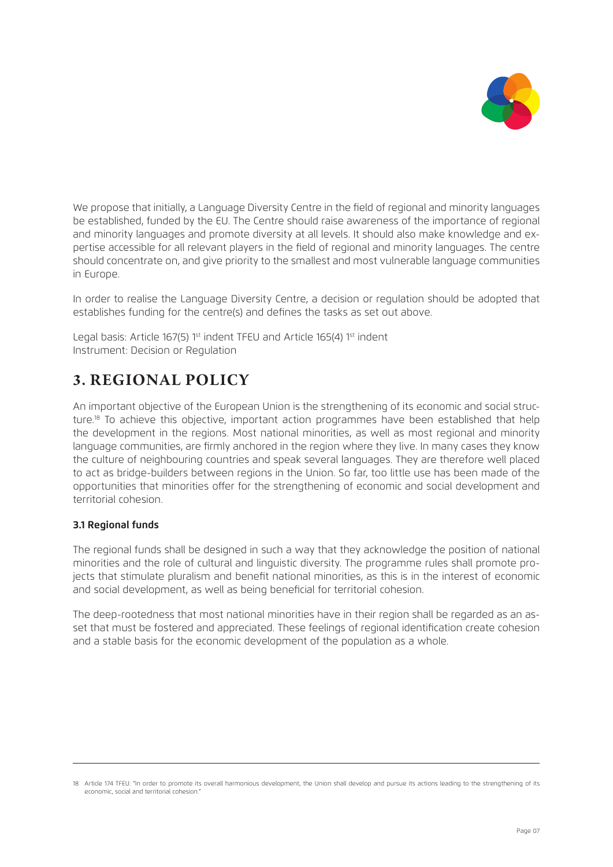

We propose that initially, a Language Diversity Centre in the field of regional and minority languages be established, funded by the EU. The Centre should raise awareness of the importance of regional and minority languages and promote diversity at all levels. It should also make knowledge and expertise accessible for all relevant players in the field of regional and minority languages. The centre should concentrate on, and give priority to the smallest and most vulnerable language communities in Europe.

In order to realise the Language Diversity Centre, a decision or regulation should be adopted that establishes funding for the centre(s) and defines the tasks as set out above.

Legal basis: Article 167(5) 1st indent TFEU and Article 165(4) 1st indent Instrument: Decision or Regulation

# **3. REGIONAL POLICY**

An important objective of the European Union is the strengthening of its economic and social structure.<sup>18</sup> To achieve this objective, important action programmes have been established that help the development in the regions. Most national minorities, as well as most regional and minority language communities, are firmly anchored in the region where they live. In many cases they know the culture of neighbouring countries and speak several languages. They are therefore well placed to act as bridge-builders between regions in the Union. So far, too little use has been made of the opportunities that minorities offer for the strengthening of economic and social development and territorial cohesion.

## **3.1 Regional funds**

The regional funds shall be designed in such a way that they acknowledge the position of national minorities and the role of cultural and linguistic diversity. The programme rules shall promote projects that stimulate pluralism and benefit national minorities, as this is in the interest of economic and social development, as well as being beneficial for territorial cohesion.

The deep-rootedness that most national minorities have in their region shall be regarded as an asset that must be fostered and appreciated. These feelings of regional identification create cohesion and a stable basis for the economic development of the population as a whole.

<sup>18</sup> Article 174 TFEU: "In order to promote its overall harmonious development, the Union shall develop and pursue its actions leading to the strengthening of its economic, social and territorial cohesion."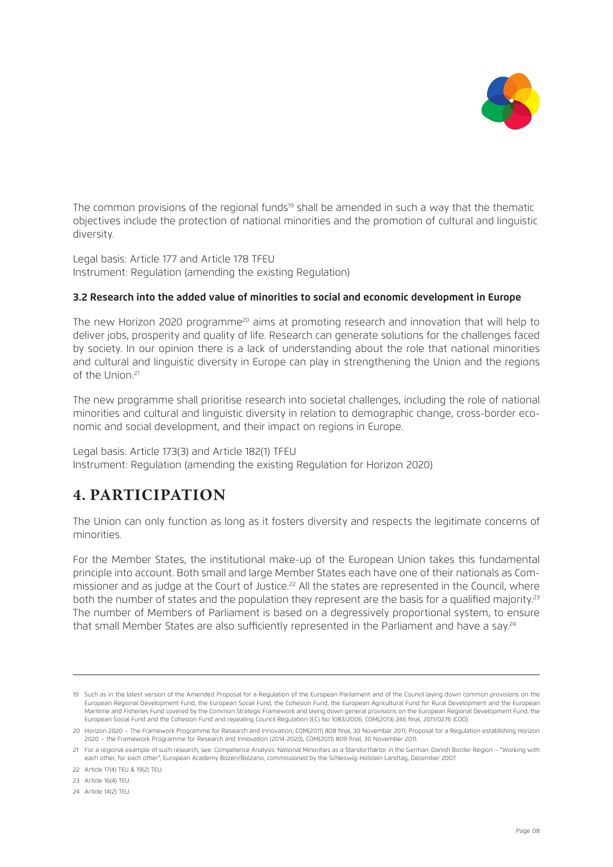

The common provisions of the regional funds<sup>19</sup> shall be amended in such a way that the thematic objectives include the protection of national minorities and the promotion of cultural and linguistic diversity.

Legal basis: Article 177 and Article 178 TFEU Instrument: Regulation (amending the existing Regulation)

#### **3.2 Research into the added value of minorities to social and economic development in Europe**

The new Horizon 2020 programme<sup>20</sup> aims at promoting research and innovation that will help to deliver jobs, prosperity and quality of life. Research can generate solutions for the challenges faced by society. In our opinion there is a lack of understanding about the role that national minorities and cultural and linguistic diversity in Europe can play in strengthening the Union and the regions of the Union.21

The new programme shall prioritise research into societal challenges, including the role of national minorities and cultural and linguistic diversity in relation to demographic change, cross-border economic and social development, and their impact on regions in Europe.

Legal basis: Article 173(3) and Article 182(1) TFEU Instrument: Regulation (amending the existing Regulation for Horizon 2020)

## **4. PARTICIPATION**

The Union can only function as long as it fosters diversity and respects the legitimate concerns of minorities.

For the Member States, the institutional make-up of the European Union takes this fundamental principle into account. Both small and large Member States each have one of their nationals as Commissioner and as judge at the Court of Justice.<sup>22</sup> All the states are represented in the Council, where both the number of states and the population they represent are the basis for a qualified majority.<sup>23</sup> The number of Members of Parliament is based on a degressively proportional system, to ensure that small Member States are also sufficiently represented in the Parliament and have a say.<sup>24</sup>

<sup>19</sup> Such as in the latest version of the Amended Proposal for a Regulation of the European Parliament and of the Council laying down common provisions on the European Regional Development Fund, the European Social Fund, the Cohesion Fund, the European Agricultural Fund for Rural Development and the European Maritime and Fisheries Fund covered by the Common Strategic Framework and laying down general provisions on the European Regional Development Fund, the European Social Fund and the Cohesion Fund and repealing Council Regulation (EC) No 1083/2006, COM(2013) 246 final, 2011/0276 (COD).

<sup>20</sup> Horizon 2020 – The Framework Programme for Research and Innovation, COM(2011) 808 final, 30 November 2011; Proposal for a Regulation establishing Horizon 2020 – the Framework Programme for Research and Innovation (2014-2020), COM(2011) 809 final, 30 November 2011.

<sup>21</sup> For a regional example of such research, see: Competence Analysis: National Minorities as a Standortfaktor in the German-Danish Border Region – "Working with each other, for each other", European Academy Bozen/Bolzano, commissioned by the Schleswig-Holstein Landtag, December 2007.

<sup>22</sup> Article 17(4) TEU & 19(2) TEU.

<sup>23</sup> Article 16(4) TEU.

<sup>24</sup> Article 14(2) TEU.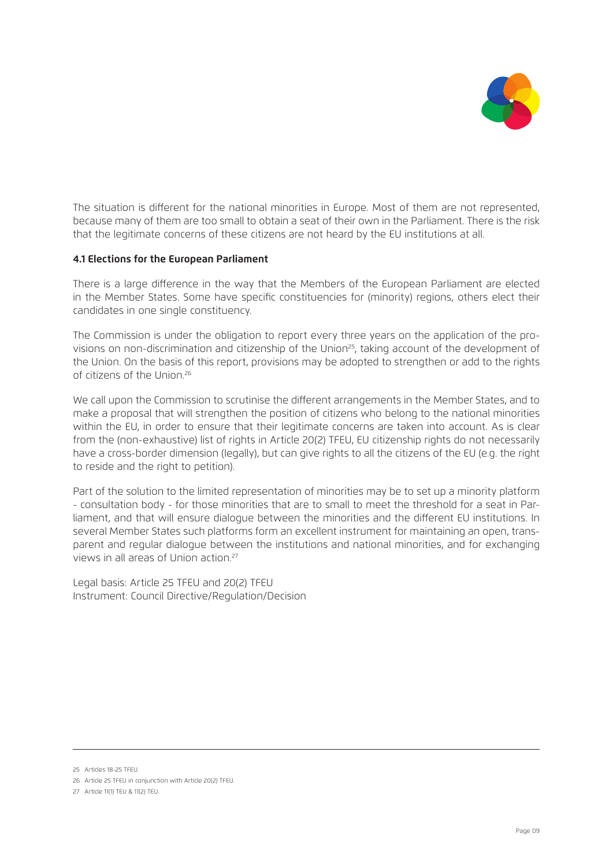

The situation is different for the national minorities in Europe. Most of them are not represented, because many of them are too small to obtain a seat of their own in the Parliament. There is the risk that the legitimate concerns of these citizens are not heard by the EU institutions at all.

#### **4.1 Elections for the European Parliament**

There is a large difference in the way that the Members of the European Parliament are elected in the Member States. Some have specific constituencies for (minority) regions, others elect their candidates in one single constituency.

The Commission is under the obligation to report every three years on the application of the provisions on non-discrimination and citizenship of the Union<sup>25</sup>, taking account of the development of the Union. On the basis of this report, provisions may be adopted to strengthen or add to the rights of citizens of the Union.26

We call upon the Commission to scrutinise the different arrangements in the Member States, and to make a proposal that will strengthen the position of citizens who belong to the national minorities within the EU, in order to ensure that their legitimate concerns are taken into account. As is clear from the (non-exhaustive) list of rights in Article 20(2) TFEU, EU citizenship rights do not necessarily have a cross-border dimension (legally), but can give rights to all the citizens of the EU (e.g. the right to reside and the right to petition).

Part of the solution to the limited representation of minorities may be to set up a minority platform - consultation body - for those minorities that are to small to meet the threshold for a seat in Parliament, and that will ensure dialogue between the minorities and the different EU institutions. In several Member States such platforms form an excellent instrument for maintaining an open, transparent and regular dialogue between the institutions and national minorities, and for exchanging views in all areas of Union action.27

Legal basis: Article 25 TFEU and 20(2) TFEU Instrument: Council Directive/Regulation/Decision

<sup>25</sup> Articles 18-25 TFEU.

<sup>26</sup> Article 25 TFEU in conjunction with Article 20(2) TFEU.

<sup>27</sup> Article 11(1) TEU & 11(2) TEU.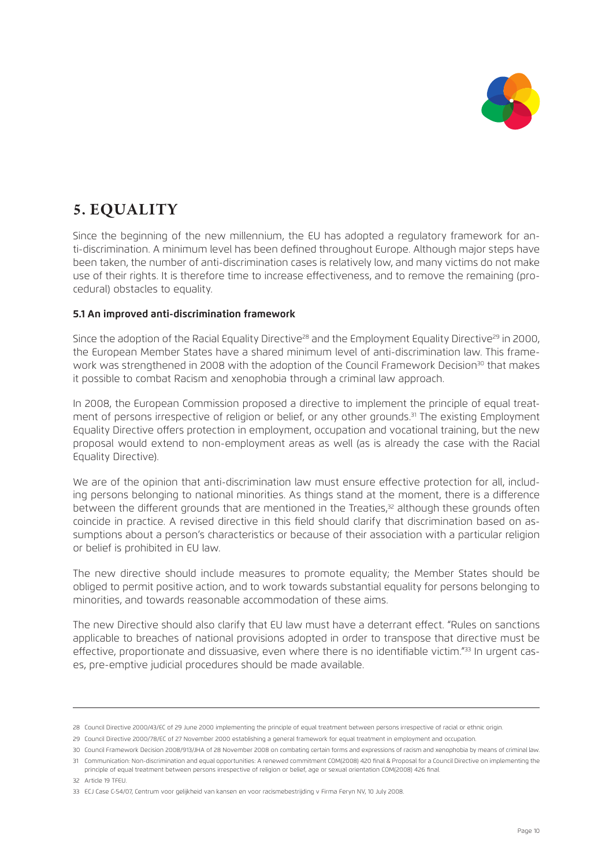

# **5. EQUALITY**

Since the beginning of the new millennium, the EU has adopted a regulatory framework for anti-discrimination. A minimum level has been defined throughout Europe. Although major steps have been taken, the number of anti-discrimination cases is relatively low, and many victims do not make use of their rights. It is therefore time to increase effectiveness, and to remove the remaining (procedural) obstacles to equality.

#### **5.1 An improved anti-discrimination framework**

Since the adoption of the Racial Equality Directive<sup>28</sup> and the Employment Equality Directive<sup>29</sup> in 2000, the European Member States have a shared minimum level of anti-discrimination law. This framework was strengthened in 2008 with the adoption of the Council Framework Decision<sup>30</sup> that makes it possible to combat Racism and xenophobia through a criminal law approach.

In 2008, the European Commission proposed a directive to implement the principle of equal treatment of persons irrespective of religion or belief, or any other grounds.<sup>31</sup> The existing Employment Equality Directive offers protection in employment, occupation and vocational training, but the new proposal would extend to non-employment areas as well (as is already the case with the Racial Equality Directive).

We are of the opinion that anti-discrimination law must ensure effective protection for all, including persons belonging to national minorities. As things stand at the moment, there is a difference between the different grounds that are mentioned in the Treaties,<sup>32</sup> although these grounds often coincide in practice. A revised directive in this field should clarify that discrimination based on assumptions about a person's characteristics or because of their association with a particular religion or belief is prohibited in EU law.

The new directive should include measures to promote equality; the Member States should be obliged to permit positive action, and to work towards substantial equality for persons belonging to minorities, and towards reasonable accommodation of these aims.

The new Directive should also clarify that EU law must have a deterrant effect. "Rules on sanctions applicable to breaches of national provisions adopted in order to transpose that directive must be effective, proportionate and dissuasive, even where there is no identifiable victim."<sup>33</sup> In urgent cases, pre-emptive judicial procedures should be made available.

<sup>28</sup> Council Directive 2000/43/EC of 29 June 2000 implementing the principle of equal treatment between persons irrespective of racial or ethnic origin.

<sup>29</sup> Council Directive 2000/78/EC of 27 November 2000 establishing a general framework for equal treatment in employment and occupation.

<sup>30</sup> Council Framework Decision 2008/913/JHA of 28 November 2008 on combating certain forms and expressions of racism and xenophobia by means of criminal law.

<sup>31</sup> Communication: Non-discrimination and equal opportunities: A renewed commitment COM(2008) 420 final & Proposal for a Council Directive on implementing the principle of equal treatment between persons irrespective of religion or belief, age or sexual orientation COM(2008) 426 final.

<sup>32</sup> Article 19 TFEU.

<sup>33</sup> ECJ Case C-54/07, Centrum voor gelijkheid van kansen en voor racismebestrijding v Firma Feryn NV, 10 July 2008.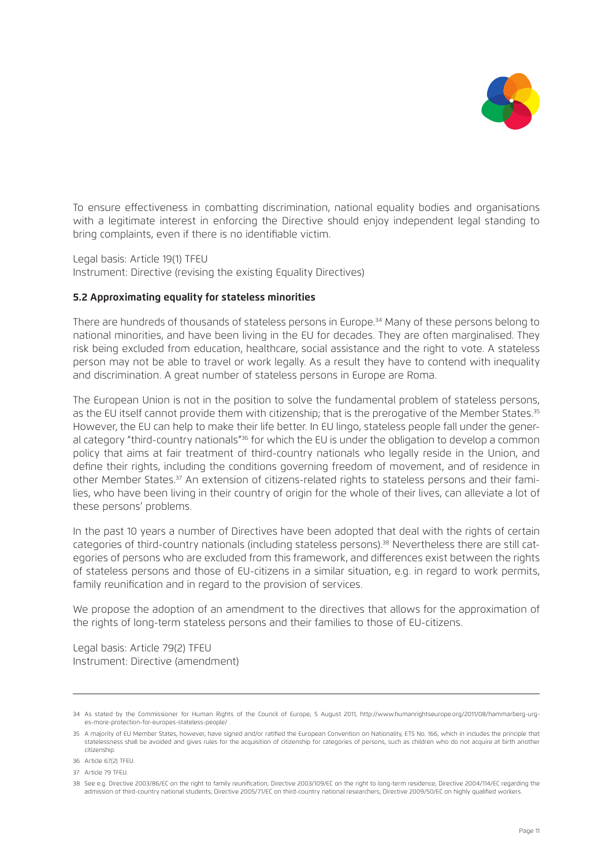

To ensure effectiveness in combatting discrimination, national equality bodies and organisations with a legitimate interest in enforcing the Directive should enjoy independent legal standing to bring complaints, even if there is no identifiable victim.

Legal basis: Article 19(1) TFEU Instrument: Directive (revising the existing Equality Directives)

#### **5.2 Approximating equality for stateless minorities**

There are hundreds of thousands of stateless persons in Europe.34 Many of these persons belong to national minorities, and have been living in the EU for decades. They are often marginalised. They risk being excluded from education, healthcare, social assistance and the right to vote. A stateless person may not be able to travel or work legally. As a result they have to contend with inequality and discrimination. A great number of stateless persons in Europe are Roma.

The European Union is not in the position to solve the fundamental problem of stateless persons, as the EU itself cannot provide them with citizenship; that is the prerogative of the Member States.<sup>35</sup> However, the EU can help to make their life better. In EU lingo, stateless people fall under the general category "third-country nationals"<sup>36</sup> for which the EU is under the obligation to develop a common policy that aims at fair treatment of third-country nationals who legally reside in the Union, and define their rights, including the conditions governing freedom of movement, and of residence in other Member States.37 An extension of citizens-related rights to stateless persons and their families, who have been living in their country of origin for the whole of their lives, can alleviate a lot of these persons' problems.

In the past 10 years a number of Directives have been adopted that deal with the rights of certain categories of third-country nationals (including stateless persons).38 Nevertheless there are still categories of persons who are excluded from this framework, and differences exist between the rights of stateless persons and those of EU-citizens in a similar situation, e.g. in regard to work permits, family reunification and in regard to the provision of services.

We propose the adoption of an amendment to the directives that allows for the approximation of the rights of long-term stateless persons and their families to those of EU-citizens.

Legal basis: Article 79(2) TFEU Instrument: Directive (amendment)

<sup>34</sup> As stated by the Commissioner for Human Rights of the Council of Europe, 5 August 2011, http://www.humanrightseurope.org/2011/08/hammarberg-urges-more-protection-for-europes-stateless-people/ .

<sup>35</sup> A majority of EU Member States, however, have signed and/or ratified the European Convention on Nationality, ETS No. 166, which in includes the principle that statelessness shall be avoided and gives rules for the acquisition of citizenship for categories of persons, such as children who do not acquire at birth another citizenship.

<sup>36</sup> Article 67(2) TFEU.

<sup>37</sup> Article 79 TFEU.

<sup>38</sup> See e.g. Directive 2003/86/EC on the right to family reunification; Directive 2003/109/EC on the right to long-term residence; Directive 2004/114/EC regarding the admission of third-country national students; Directive 2005/71/EC on third-country national researchers; Directive 2009/50/EC on highly qualified workers.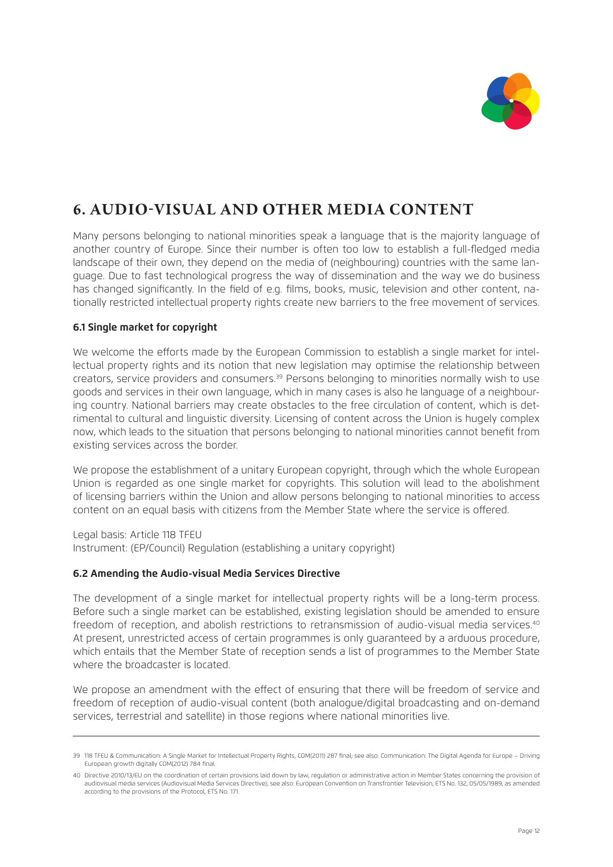

## **6. AUDIO-VISUAL AND OTHER MEDIA CONTENT**

Many persons belonging to national minorities speak a language that is the majority language of another country of Europe. Since their number is often too low to establish a full-fledged media landscape of their own, they depend on the media of (neighbouring) countries with the same language. Due to fast technological progress the way of dissemination and the way we do business has changed significantly. In the field of e.g. films, books, music, television and other content, nationally restricted intellectual property rights create new barriers to the free movement of services.

## **6.1 Single market for copyright**

We welcome the efforts made by the European Commission to establish a single market for intellectual property rights and its notion that new legislation may optimise the relationship between creators, service providers and consumers.39 Persons belonging to minorities normally wish to use goods and services in their own language, which in many cases is also he language of a neighbouring country. National barriers may create obstacles to the free circulation of content, which is detrimental to cultural and linguistic diversity. Licensing of content across the Union is hugely complex now, which leads to the situation that persons belonging to national minorities cannot benefit from existing services across the border.

We propose the establishment of a unitary European copyright, through which the whole European Union is regarded as one single market for copyrights. This solution will lead to the abolishment of licensing barriers within the Union and allow persons belonging to national minorities to access content on an equal basis with citizens from the Member State where the service is offered.

Legal basis: Article 118 TFEU Instrument: (EP/Council) Regulation (establishing a unitary copyright)

#### **6.2 Amending the Audio-visual Media Services Directive**

The development of a single market for intellectual property rights will be a long-term process. Before such a single market can be established, existing legislation should be amended to ensure freedom of reception, and abolish restrictions to retransmission of audio-visual media services.<sup>40</sup> At present, unrestricted access of certain programmes is only guaranteed by a arduous procedure, which entails that the Member State of reception sends a list of programmes to the Member State where the broadcaster is located.

We propose an amendment with the effect of ensuring that there will be freedom of service and freedom of reception of audio-visual content (both analogue/digital broadcasting and on-demand services, terrestrial and satellite) in those regions where national minorities live.

<sup>39 118</sup> TFEU & Communication: A Single Market for Intellectual Property Rights, COM(2011) 287 final; see also: Communication: The Digital Agenda for Europe – Driving European growth digitally COM(2012) 784 final.

<sup>40</sup> Directive 2010/13/EU on the coordination of certain provisions laid down by law, regulation or administrative action in Member States concerning the provision of audiovisual media services (Audiovisual Media Services Directive); see also: European Convention on Transfrontier Television, ETS No. 132, 05/05/1989, as amended according to the provisions of the Protocol, ETS No. 171.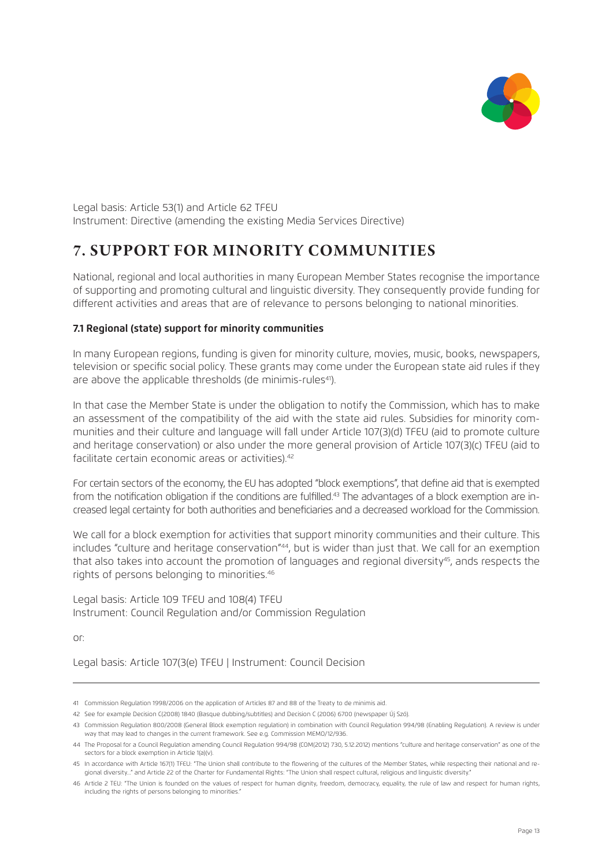

Legal basis: Article 53(1) and Article 62 TFEU Instrument: Directive (amending the existing Media Services Directive)

# **7. SUPPORT FOR MINORITY COMMUNITIES**

National, regional and local authorities in many European Member States recognise the importance of supporting and promoting cultural and linguistic diversity. They consequently provide funding for different activities and areas that are of relevance to persons belonging to national minorities.

#### **7.1 Regional (state) support for minority communities**

In many European regions, funding is given for minority culture, movies, music, books, newspapers, television or specific social policy. These grants may come under the European state aid rules if they are above the applicable thresholds (de minimis-rules<sup>41</sup>).

In that case the Member State is under the obligation to notify the Commission, which has to make an assessment of the compatibility of the aid with the state aid rules. Subsidies for minority communities and their culture and language will fall under Article 107(3)(d) TFEU (aid to promote culture and heritage conservation) or also under the more general provision of Article 107(3)(c) TFEU (aid to facilitate certain economic areas or activities).<sup>42</sup>

For certain sectors of the economy, the EU has adopted "block exemptions", that define aid that is exempted from the notification obligation if the conditions are fulfilled.<sup>43</sup> The advantages of a block exemption are increased legal certainty for both authorities and beneficiaries and a decreased workload for the Commission.

We call for a block exemption for activities that support minority communities and their culture. This includes "culture and heritage conservation"<sup>44</sup>, but is wider than just that. We call for an exemption that also takes into account the promotion of languages and regional diversity<sup>45</sup>, ands respects the rights of persons belonging to minorities.46

Legal basis: Article 109 TFEU and 108(4) TFEU Instrument: Council Regulation and/or Commission Regulation

or:

Legal basis: Article 107(3(e) TFEU | Instrument: Council Decision

<sup>41</sup> Commission Regulation 1998/2006 on the application of Articles 87 and 88 of the Treaty to de minimis aid.

<sup>42</sup> See for example Decision C(2008) 1840 (Basque dubbing/subtitles) and Decision C (2006) 6700 (newspaper Új Szó).

<sup>43</sup> Commission Regulation 800/2008 (General Block exemption regulation) in combination with Council Regulation 994/98 (Enabling Regulation). A review is under way that may lead to changes in the current framework. See e.g. Commission MEMO/12/936.

<sup>44</sup> The Proposal for a Council Regulation amending Council Regulation 994/98 (COM(2012) 730, 5.12.2012) mentions "culture and heritage conservation" as one of the sectors for a block exemption in Article 1(a)(v).

<sup>45</sup> In accordance with Article 167(1) TFEU: "The Union shall contribute to the flowering of the cultures of the Member States, while respecting their national and regional diversity..." and Article 22 of the Charter for Fundamental Rights: "The Union shall respect cultural, religious and linguistic diversity."

<sup>46</sup> Article 2 TEU: "The Union is founded on the values of respect for human dignity, freedom, democracy, equality, the rule of law and respect for human rights, including the rights of persons belonging to minorities.